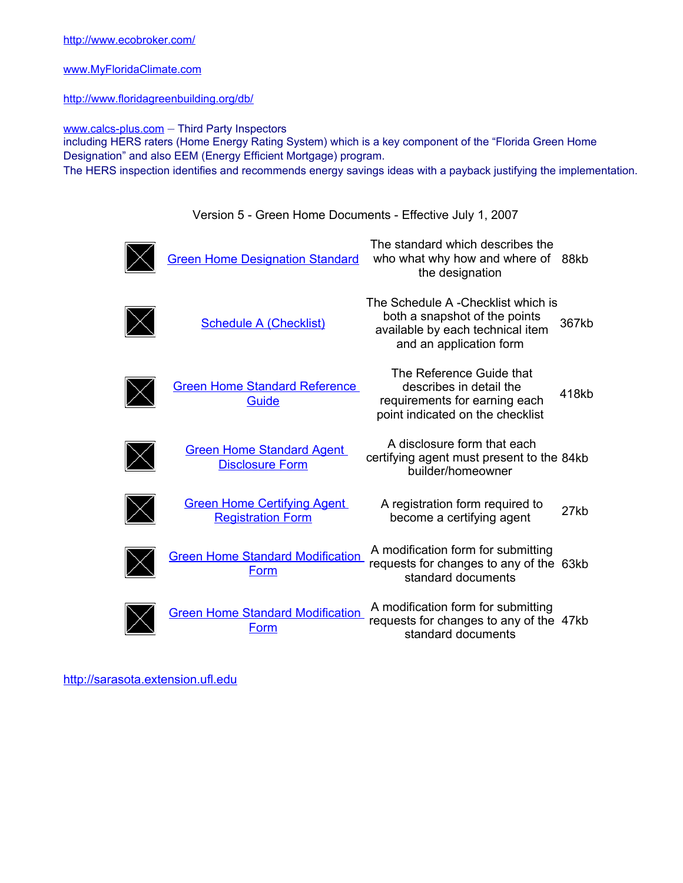[www.MyFloridaClimate.com](http://www.myfloridaclimate.com/)

<http://www.floridagreenbuilding.org/db/>

[www.calcs-plus.com](http://www.calcs-plus.com/) – Third Party Inspectors including HERS raters (Home Energy Rating System) which is a key component of the "Florida Green Home Designation" and also EEM (Energy Efficient Mortgage) program. The HERS inspection identifies and recommends energy savings ideas with a payback justifying the implementation.

Version 5 - Green Home Documents - Effective July 1, 2007

| <b>Green Home Designation Standard</b>                         | The standard which describes the<br>who what why how and where of<br>the designation                                               | 88kb  |
|----------------------------------------------------------------|------------------------------------------------------------------------------------------------------------------------------------|-------|
| <b>Schedule A (Checklist)</b>                                  | The Schedule A -Checklist which is<br>both a snapshot of the points<br>available by each technical item<br>and an application form | 367kb |
| <b>Green Home Standard Reference</b><br>Guide                  | The Reference Guide that<br>describes in detail the<br>requirements for earning each<br>point indicated on the checklist           | 418kb |
| <b>Green Home Standard Agent</b><br><b>Disclosure Form</b>     | A disclosure form that each<br>certifying agent must present to the 84kb<br>builder/homeowner                                      |       |
| <b>Green Home Certifying Agent</b><br><b>Registration Form</b> | A registration form required to<br>become a certifying agent                                                                       | 27kb  |
| <b>Green Home Standard Modification</b><br>Form                | A modification form for submitting<br>requests for changes to any of the 63kb<br>standard documents                                |       |
| <b>Green Home Standard Modification</b><br>Form                | A modification form for submitting<br>requests for changes to any of the 47kb<br>standard documents                                |       |

[http://sarasota.extension.ufl.edu](http://sarasota.extension.ufl.edu/)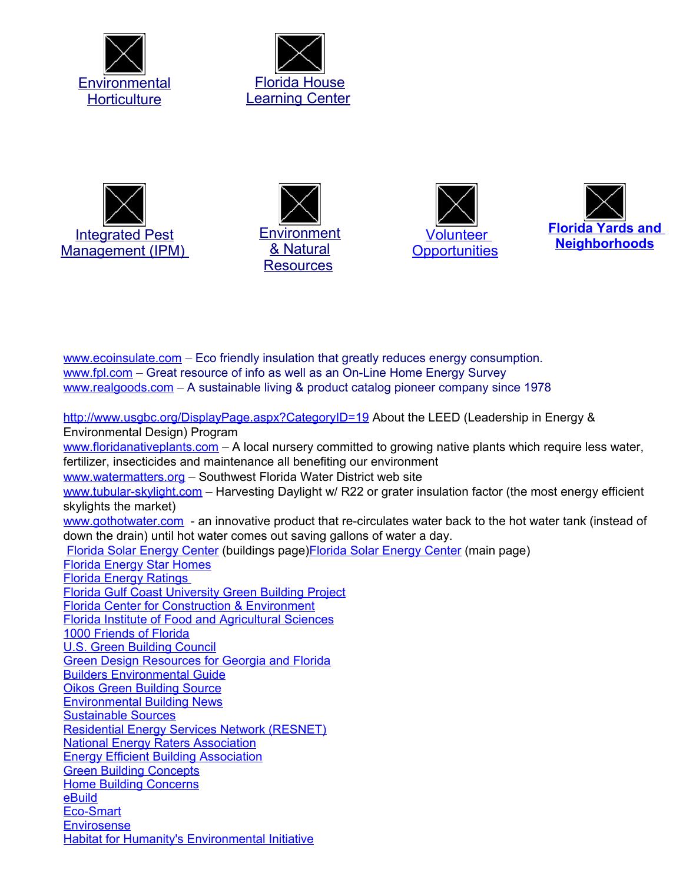











[www.ecoinsulate.com](http://www.ecoinsulate.com/) – Eco friendly insulation that greatly reduces energy consumption. [www.fpl.com](http://www.fpl.com/) – Great resource of info as well as an On-Line Home Energy Survey [www.realgoods.com](http://www.realgoods.com/) – A sustainable living & product catalog pioneer company since 1978

<http://www.usgbc.org/DisplayPage.aspx?CategoryID=19> About the LEED (Leadership in Energy & Environmental Design) Program [www.floridanativeplants.com](http://www.floridanativeplants.com/) - A local nursery committed to growing native plants which require less water, fertilizer, insecticides and maintenance all benefiting our environment [www.watermatters.org](http://www.watermatters.org/) – Southwest Florida Water District web site [www.tubular-skylight.com](http://www.tubular-skylight.com/) – Harvesting Daylight w/ R22 or grater insulation factor (the most energy efficient skylights the market) [www.gothotwater.com](http://www.gothotwater.com/) - an innovative product that re-circulates water back to the hot water tank (instead of down the drain) until hot water comes out saving gallons of water a day. [Florida Solar](http://www.fsec.ucf.edu/en/consumer/buildings/index.htm) Energy Center (buildings page[\)Florida Solar](http://www.fsec.ucf.edu/) Energy Center (main page) [Florida Energy](http://www.fsec.ucf.edu/en/consumer/buildings/homes/programs/energystar.htm) Star Homes [Florida Energy](http://www.fsec.ucf.edu/en/consumer/buildings/homes/ratings/index.htm) Ratings Florida Gulf Coast [University Green Building Project](http://www.fgcu.edu/greenbuilding/) [Florida Center for Construction & Environment](http://www.cce.ufl.edu/) [Florida Institute of Food](http://edis.ifas.ufl.edu/) and Agricultural Sciences [1000 Friends of Florida](http://www.1000friendsofflorida.org/) U.S. Green [Building Council](http://www.usgbc.org/) [Green Design Resources for Georgia and Florida](http://www.greendesign.net/resdir/flga/index.htm) Builders [Environmental Guide](http://www.nwbuildnet.com/nwbn/environmental.html) [Oikos Green](http://www.oikos.com/) Building Source [Environmental Building News](http://www.buildinggreen.com/) [Sustainable Sources](http://www.greenbuilder.com/) [Residential Energy Services](http://www.natresnet.org/) Network (RESNET) **National Energy [Raters Association](http://www.energyraters.org/)** Energy Efficient [Building Association](http://www.eeba.org/) **[Green Building](http://www.greenconcepts.com/) Concepts** Home Building [Concerns](http://interiorconcerns.org/) **[eBuild](http://www.ebuild.com/)** [Eco-Smart](http://www.ecohouse.com/) **[Envirosense](http://www.envirosense.org/) Habitat [for Humanity's Environmental](http://www.habitat.org/env/) Initiative**